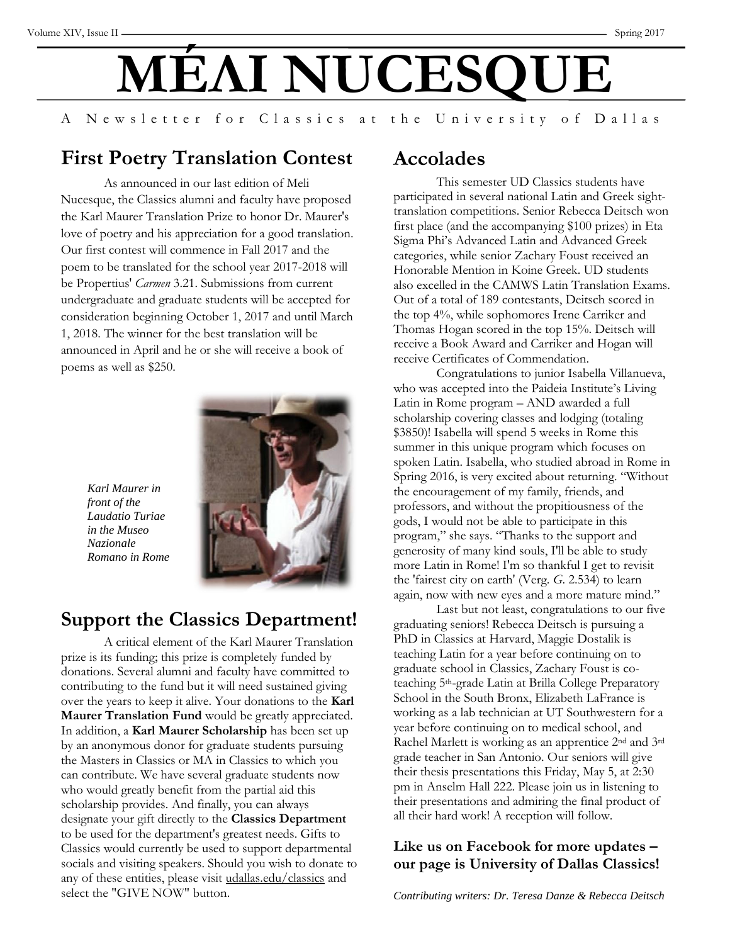# **MÉΛI NUCESΟ**

A Newsletter for Classics at the University of Dallas

## **First Poetry Translation Contest**

As announced in our last edition of Meli Nucesque, the Classics alumni and faculty have proposed the Karl Maurer Translation Prize to honor Dr. Maurer's love of poetry and his appreciation for a good translation. Our first contest will commence in Fall 2017 and the poem to be translated for the school year 2017-2018 will be Propertius' *Carmen* 3.21. Submissions from current undergraduate and graduate students will be accepted for consideration beginning October 1, 2017 and until March 1, 2018. The winner for the best translation will be announced in April and he or she will receive a book of poems as well as \$250.



*Karl Maurer in front of the Laudatio Turiae in the Museo Nazionale Romano in Rome* 

## **Support the Classics Department!**

A critical element of the Karl Maurer Translation prize is its funding; this prize is completely funded by donations. Several alumni and faculty have committed to contributing to the fund but it will need sustained giving over the years to keep it alive. Your donations to the **Karl Maurer Translation Fund** would be greatly appreciated. In addition, a **Karl Maurer Scholarship** has been set up by an anonymous donor for graduate students pursuing the Masters in Classics or MA in Classics to which you can contribute. We have several graduate students now who would greatly benefit from the partial aid this scholarship provides. And finally, you can always designate your gift directly to the **Classics Department** to be used for the department's greatest needs. Gifts to Classics would currently be used to support departmental socials and visiting speakers. Should you wish to donate to any of these entities, please visit [udallas.edu/classics](http://udallas.edu/classics) and select the "GIVE NOW" button.

#### **Accolades**

This semester UD Classics students have participated in several national Latin and Greek sighttranslation competitions. Senior Rebecca Deitsch won first place (and the accompanying \$100 prizes) in Eta Sigma Phi's Advanced Latin and Advanced Greek categories, while senior Zachary Foust received an Honorable Mention in Koine Greek. UD students also excelled in the CAMWS Latin Translation Exams. Out of a total of 189 contestants, Deitsch scored in the top 4%, while sophomores Irene Carriker and Thomas Hogan scored in the top 15%. Deitsch will receive a Book Award and Carriker and Hogan will receive Certificates of Commendation.

Congratulations to junior Isabella Villanueva, who was accepted into the Paideia Institute's Living Latin in Rome program – AND awarded a full scholarship covering classes and lodging (totaling \$3850)! Isabella will spend 5 weeks in Rome this summer in this unique program which focuses on spoken Latin. Isabella, who studied abroad in Rome in Spring 2016, is very excited about returning. "Without the encouragement of my family, friends, and professors, and without the propitiousness of the gods, I would not be able to participate in this program," she says. "Thanks to the support and generosity of many kind souls, I'll be able to study more Latin in Rome! I'm so thankful I get to revisit the 'fairest city on earth' (Verg. *G*. 2.534) to learn again, now with new eyes and a more mature mind."

Last but not least, congratulations to our five graduating seniors! Rebecca Deitsch is pursuing a PhD in Classics at Harvard, Maggie Dostalik is teaching Latin for a year before continuing on to graduate school in Classics, Zachary Foust is coteaching 5th-grade Latin at Brilla College Preparatory School in the South Bronx, Elizabeth LaFrance is working as a lab technician at UT Southwestern for a year before continuing on to medical school, and Rachel Marlett is working as an apprentice 2nd and 3rd grade teacher in San Antonio. Our seniors will give their thesis presentations this Friday, May 5, at 2:30 pm in Anselm Hall 222. Please join us in listening to their presentations and admiring the final product of all their hard work! A reception will follow.

#### **Like us on Facebook for more updates – our page is University of Dallas Classics!**